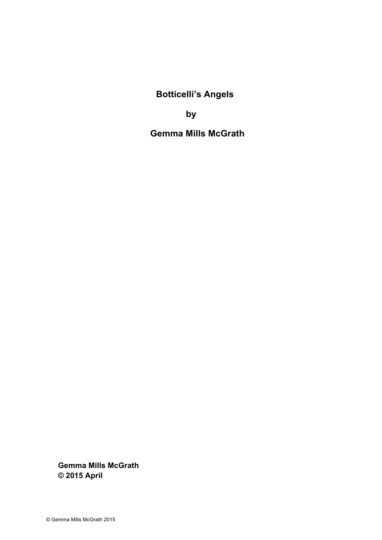# **Botticelli's Angels**

**by** 

 **Gemma Mills McGrath** 

**Gemma Mills McGrath © 2015 April**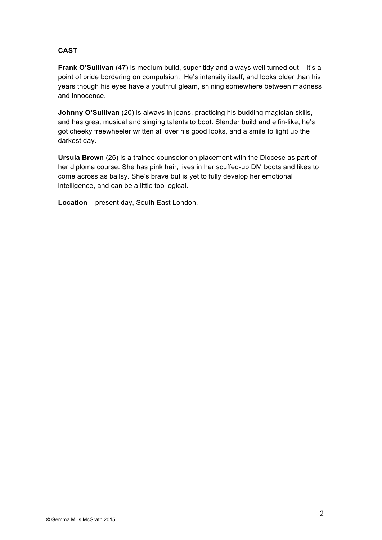## **CAST**

**Frank O'Sullivan** (47) is medium build, super tidy and always well turned out – it's a point of pride bordering on compulsion. He's intensity itself, and looks older than his years though his eyes have a youthful gleam, shining somewhere between madness and innocence.

**Johnny O'Sullivan** (20) is always in jeans, practicing his budding magician skills, and has great musical and singing talents to boot. Slender build and elfin-like, he's got cheeky freewheeler written all over his good looks, and a smile to light up the darkest day.

**Ursula Brown** (26) is a trainee counselor on placement with the Diocese as part of her diploma course. She has pink hair, lives in her scuffed-up DM boots and likes to come across as ballsy. She's brave but is yet to fully develop her emotional intelligence, and can be a little too logical.

**Location** – present day, South East London.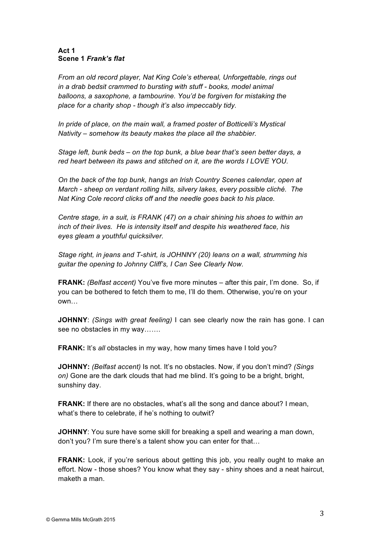### **Act 1 Scene 1** *Frank's flat*

*From an old record player, Nat King Cole's ethereal, Unforgettable, rings out in a drab bedsit crammed to bursting with stuff - books, model animal balloons, a saxophone, a tambourine. You'd be forgiven for mistaking the place for a charity shop - though it's also impeccably tidy.*

*In pride of place, on the main wall, a framed poster of Botticelli's Mystical Nativity – somehow its beauty makes the place all the shabbier.*

*Stage left, bunk beds – on the top bunk, a blue bear that's seen better days, a red heart between its paws and stitched on it, are the words I LOVE YOU.* 

*On the back of the top bunk, hangs an Irish Country Scenes calendar, open at March - sheep on verdant rolling hills, silvery lakes, every possible cliché. The Nat King Cole record clicks off and the needle goes back to his place.* 

*Centre stage, in a suit, is FRANK (47) on a chair shining his shoes to within an inch of their lives. He is intensity itself and despite his weathered face, his eyes gleam a youthful quicksilver.*

*Stage right, in jeans and T-shirt, is JOHNNY (20) leans on a wall, strumming his guitar the opening to Johnny Cliff's, I Can See Clearly Now.* 

**FRANK:** *(Belfast accent)* You've five more minutes – after this pair, I'm done. So, if you can be bothered to fetch them to me, I'll do them. Otherwise, you're on your own…

**JOHNNY**: *(Sings with great feeling)* I can see clearly now the rain has gone. I can see no obstacles in my way…….

**FRANK:** It's all obstacles in my way, how many times have I told you?

**JOHNNY:** *(Belfast accent)* Is not. It's no obstacles. Now, if you don't mind? *(Sings on)* Gone are the dark clouds that had me blind. It's going to be a bright, bright, sunshiny day.

**FRANK:** If there are no obstacles, what's all the song and dance about? I mean, what's there to celebrate, if he's nothing to outwit?

**JOHNNY:** You sure have some skill for breaking a spell and wearing a man down, don't you? I'm sure there's a talent show you can enter for that…

**FRANK:** Look, if you're serious about getting this job, you really ought to make an effort. Now - those shoes? You know what they say - shiny shoes and a neat haircut, maketh a man.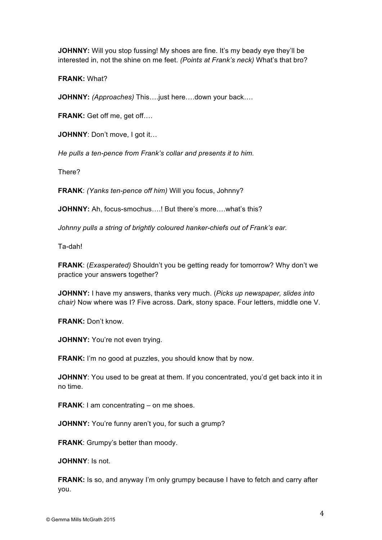**JOHNNY:** Will you stop fussing! My shoes are fine. It's my beady eye they'll be interested in, not the shine on me feet. *(Points at Frank's neck)* What's that bro?

**FRANK:** What?

**JOHNNY:** *(Approaches)* This….just here….down your back….

**FRANK:** Get off me, get off….

**JOHNNY**: Don't move, I got it…

*He pulls a ten-pence from Frank's collar and presents it to him.*

There?

**FRANK**: *(Yanks ten-pence off him)* Will you focus, Johnny?

**JOHNNY:** Ah, focus-smochus….! But there's more….what's this?

*Johnny pulls a string of brightly coloured hanker-chiefs out of Frank's ear.* 

Ta-dah!

**FRANK**: (*Exasperated)* Shouldn't you be getting ready for tomorrow? Why don't we practice your answers together?

**JOHNNY:** I have my answers, thanks very much. (*Picks up newspaper, slides into chair)* Now where was I? Five across. Dark, stony space. Four letters, middle one V.

**FRANK:** Don't know.

**JOHNNY:** You're not even trying.

**FRANK:** I'm no good at puzzles, you should know that by now.

**JOHNNY**: You used to be great at them*.* If you concentrated, you'd get back into it in no time.

**FRANK:** I am concentrating – on me shoes.

**JOHNNY:** You're funny aren't you, for such a grump?

**FRANK:** Grumpy's better than moody.

**JOHNNY**: Is not.

**FRANK:** Is so, and anyway I'm only grumpy because I have to fetch and carry after you.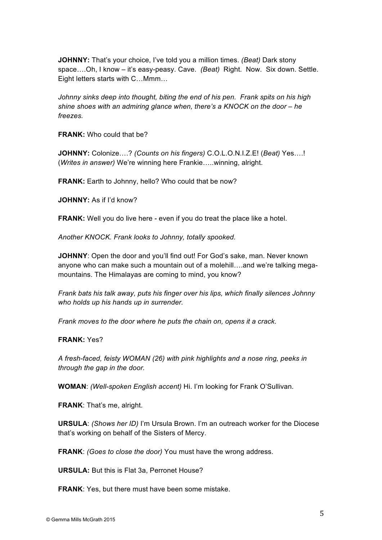**JOHNNY:** That's your choice, I've told you a million times. *(Beat)* Dark stony space….Oh, I know – it's easy-peasy. Cave. *(Beat)* Right. Now. Six down. Settle. Eight letters starts with C…Mmm…

*Johnny sinks deep into thought, biting the end of his pen. Frank spits on his high shine shoes with an admiring glance when, there's a KNOCK on the door – he freezes.* 

**FRANK:** Who could that be?

**JOHNNY:** Colonize….? *(Counts on his fingers)* C.O.L.O.N.I.Z.E! (*Beat)* Yes….! (*Writes in answer)* We're winning here Frankie…..winning, alright.

**FRANK:** Earth to Johnny, hello? Who could that be now?

**JOHNNY:** As if I'd know?

**FRANK:** Well you do live here - even if you do treat the place like a hotel.

*Another KNOCK. Frank looks to Johnny, totally spooked.* 

**JOHNNY:** Open the door and you'll find out! For God's sake, man. Never known anyone who can make such a mountain out of a molehill….and we're talking megamountains. The Himalayas are coming to mind, you know?

*Frank bats his talk away, puts his finger over his lips, which finally silences Johnny who holds up his hands up in surrender.* 

*Frank moves to the door where he puts the chain on, opens it a crack.* 

#### **FRANK:** Yes?

*A fresh-faced, feisty WOMAN (26) with pink highlights and a nose ring, peeks in through the gap in the door.* 

**WOMAN**: *(Well-spoken English accent)* Hi. I'm looking for Frank O'Sullivan.

**FRANK**: That's me, alright.

**URSULA**: *(Shows her ID)* I'm Ursula Brown. I'm an outreach worker for the Diocese that's working on behalf of the Sisters of Mercy.

**FRANK**: *(Goes to close the door)* You must have the wrong address.

**URSULA:** But this is Flat 3a, Perronet House?

**FRANK**: Yes, but there must have been some mistake.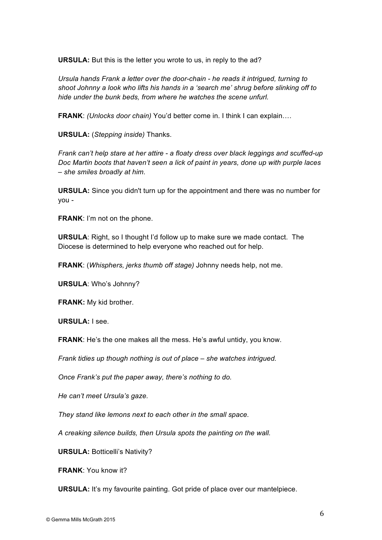**URSULA:** But this is the letter you wrote to us, in reply to the ad?

*Ursula hands Frank a letter over the door-chain - he reads it intrigued, turning to shoot Johnny a look who lifts his hands in a 'search me' shrug before slinking off to hide under the bunk beds, from where he watches the scene unfurl.* 

**FRANK**: *(Unlocks door chain)* You'd better come in. I think I can explain….

**URSULA:** (*Stepping inside)* Thanks.

*Frank can't help stare at her attire - a floaty dress over black leggings and scuffed-up Doc Martin boots that haven't seen a lick of paint in years, done up with purple laces – she smiles broadly at him.* 

**URSULA:** Since you didn't turn up for the appointment and there was no number for you -

**FRANK**: I'm not on the phone.

**URSULA**: Right, so I thought I'd follow up to make sure we made contact. The Diocese is determined to help everyone who reached out for help.

**FRANK**: (*Whisphers, jerks thumb off stage)* Johnny needs help, not me.

**URSULA**: Who's Johnny?

**FRANK:** My kid brother.

**URSULA:** I see.

**FRANK**: He's the one makes all the mess. He's awful untidy, you know.

*Frank tidies up though nothing is out of place – she watches intrigued.* 

*Once Frank's put the paper away, there's nothing to do.* 

*He can't meet Ursula's gaze.* 

*They stand like lemons next to each other in the small space.* 

*A creaking silence builds, then Ursula spots the painting on the wall.*

**URSULA: Botticelli's Nativity?** 

**FRANK**: You know it?

**URSULA:** It's my favourite painting. Got pride of place over our mantelpiece.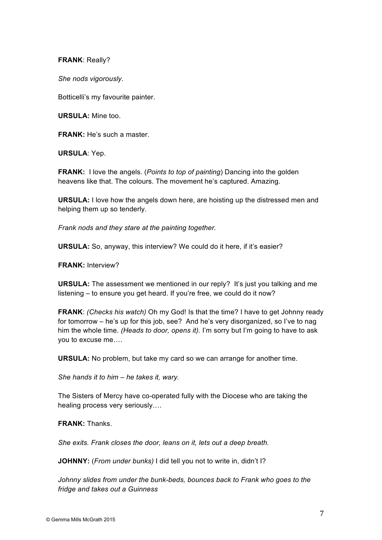#### **FRANK**: Really?

*She nods vigorously.*

Botticelli's my favourite painter.

**URSULA:** Mine too.

**FRANK:** He's such a master.

**URSULA**: Yep.

**FRANK:** I love the angels. (*Points to top of painting*) Dancing into the golden heavens like that. The colours. The movement he's captured. Amazing.

**URSULA:** I love how the angels down here, are hoisting up the distressed men and helping them up so tenderly.

*Frank nods and they stare at the painting together.* 

**URSULA:** So, anyway, this interview? We could do it here, if it's easier?

**FRANK:** Interview?

**URSULA:** The assessment we mentioned in our reply? It's just you talking and me listening – to ensure you get heard. If you're free, we could do it now?

**FRANK**: *(Checks his watch)* Oh my God! Is that the time? I have to get Johnny ready for tomorrow – he's up for this job, see? And he's very disorganized, so I've to nag him the whole time. *(Heads to door, opens it).* I'm sorry but I'm going to have to ask you to excuse me….

**URSULA:** No problem, but take my card so we can arrange for another time.

*She hands it to him – he takes it, wary.* 

The Sisters of Mercy have co-operated fully with the Diocese who are taking the healing process very seriously….

#### **FRANK:** Thanks.

*She exits. Frank closes the door, leans on it, lets out a deep breath.* 

**JOHNNY:** (*From under bunks)* I did tell you not to write in, didn't I?

*Johnny slides from under the bunk-beds, bounces back to Frank who goes to the fridge and takes out a Guinness*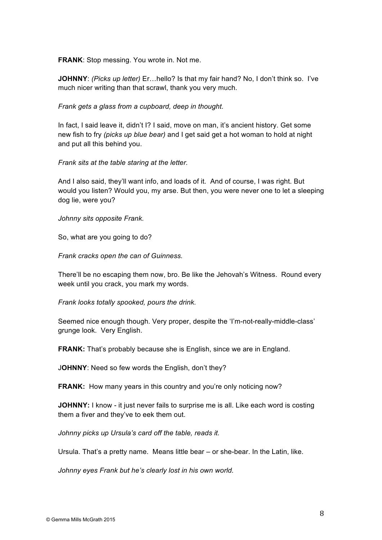**FRANK**: Stop messing. You wrote in. Not me.

**JOHNNY**: *(Picks up letter)* Er…hello? Is that my fair hand? No, I don't think so. I've much nicer writing than that scrawl, thank you very much.

*Frank gets a glass from a cupboard, deep in thought.* 

In fact, I said leave it, didn't I? I said, move on man, it's ancient history. Get some new fish to fry *(picks up blue bear)* and I get said get a hot woman to hold at night and put all this behind you.

*Frank sits at the table staring at the letter.* 

And I also said, they'll want info, and loads of it. And of course, I was right. But would you listen? Would you, my arse. But then, you were never one to let a sleeping dog lie, were you?

*Johnny sits opposite Frank.*

So, what are you going to do?

*Frank cracks open the can of Guinness.* 

There'll be no escaping them now, bro. Be like the Jehovah's Witness. Round every week until you crack, you mark my words.

*Frank looks totally spooked, pours the drink.* 

Seemed nice enough though. Very proper, despite the 'I'm-not-really-middle-class' grunge look. Very English.

**FRANK:** That's probably because she is English, since we are in England.

J**OHNNY**: Need so few words the English, don't they?

**FRANK:** How many years in this country and you're only noticing now?

**JOHNNY:** I know - it just never fails to surprise me is all. Like each word is costing them a fiver and they've to eek them out.

*Johnny picks up Ursula's card off the table, reads it.* 

Ursula. That's a pretty name. Means little bear – or she-bear. In the Latin, like.

*Johnny eyes Frank but he's clearly lost in his own world.*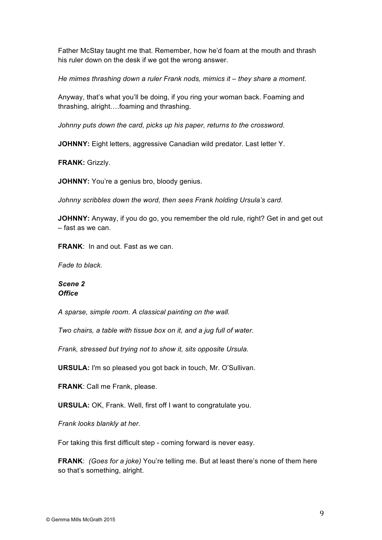Father McStay taught me that. Remember, how he'd foam at the mouth and thrash his ruler down on the desk if we got the wrong answer.

*He mimes thrashing down a ruler Frank nods, mimics it – they share a moment.* 

Anyway, that's what you'll be doing, if you ring your woman back. Foaming and thrashing, alright….foaming and thrashing.

*Johnny puts down the card, picks up his paper, returns to the crossword.* 

**JOHNNY:** Eight letters, aggressive Canadian wild predator. Last letter Y.

**FRANK:** Grizzly.

**JOHNNY:** You're a genius bro, bloody genius.

*Johnny scribbles down the word, then sees Frank holding Ursula's card.* 

**JOHNNY:** Anyway, if you do go, you remember the old rule, right? Get in and get out – fast as we can.

**FRANK**: In and out. Fast as we can.

*Fade to black.* 

## *Scene 2 Office*

*A sparse, simple room. A classical painting on the wall.* 

*Two chairs, a table with tissue box on it, and a jug full of water.* 

*Frank, stressed but trying not to show it, sits opposite Ursula.* 

**URSULA:** I'm so pleased you got back in touch, Mr. O'Sullivan.

**FRANK**: Call me Frank, please.

**URSULA:** OK, Frank. Well, first off I want to congratulate you.

*Frank looks blankly at her.* 

For taking this first difficult step - coming forward is never easy.

**FRANK**: *(Goes for a joke)* You're telling me. But at least there's none of them here so that's something, alright.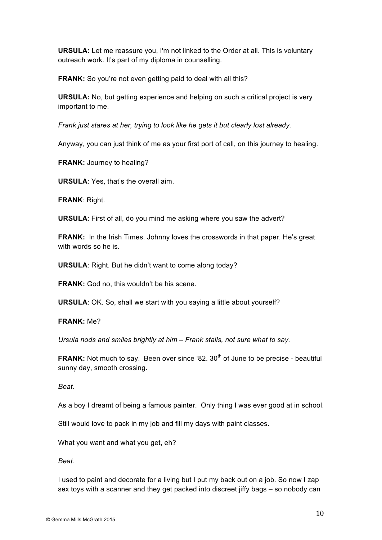**URSULA:** Let me reassure you, I'm not linked to the Order at all. This is voluntary outreach work. It's part of my diploma in counselling.

**FRANK:** So you're not even getting paid to deal with all this?

**URSULA:** No, but getting experience and helping on such a critical project is very important to me.

*Frank just stares at her, trying to look like he gets it but clearly lost already.* 

Anyway, you can just think of me as your first port of call, on this journey to healing.

**FRANK:** Journey to healing?

**URSULA**: Yes, that's the overall aim.

**FRANK**: Right.

**URSULA**: First of all, do you mind me asking where you saw the advert?

**FRANK:** In the Irish Times. Johnny loves the crosswords in that paper. He's great with words so he is.

**URSULA**: Right. But he didn't want to come along today?

**FRANK:** God no, this wouldn't be his scene.

**URSULA**: OK. So, shall we start with you saying a little about yourself?

#### **FRANK:** Me?

*Ursula nods and smiles brightly at him – Frank stalls, not sure what to say.*

**FRANK:** Not much to say. Been over since '82. 30<sup>th</sup> of June to be precise - beautiful sunny day, smooth crossing.

#### *Beat.*

As a boy I dreamt of being a famous painter. Only thing I was ever good at in school.

Still would love to pack in my job and fill my days with paint classes.

What you want and what you get, eh?

*Beat.* 

I used to paint and decorate for a living but I put my back out on a job. So now I zap sex toys with a scanner and they get packed into discreet jiffy bags – so nobody can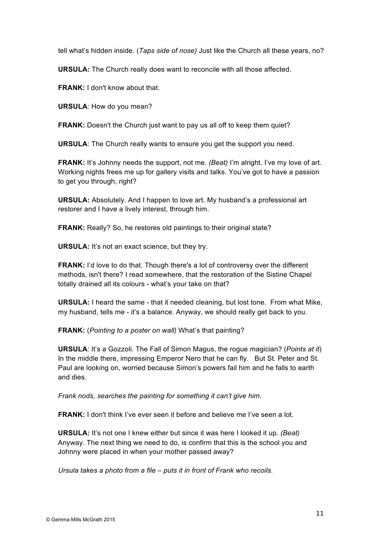tell what's hidden inside. (*Taps side of nose)* Just like the Church all these years, no?

**URSULA:** The Church really does want to reconcile with all those affected.

**FRANK:** I don't know about that.

**URSULA**: How do you mean?

**FRANK:** Doesn't the Church just want to pay us all off to keep them quiet?

**URSULA**: The Church really wants to ensure you get the support you need.

**FRANK:** It's Johnny needs the support, not me. *(Beat)* I'm alright. I've my love of art. Working nights frees me up for gallery visits and talks. You've got to have a passion to get you through, right?

**URSULA:** Absolutely. And I happen to love art. My husband's a professional art restorer and I have a lively interest, through him.

**FRANK:** Really? So, he restores old paintings to their original state?

**URSULA:** It's not an exact science, but they try.

**FRANK:** I'd love to do that. Though there's a lot of controversy over the different methods, isn't there? I read somewhere, that the restoration of the Sistine Chapel totally drained all its colours - what's your take on that?

**URSULA:** I heard the same - that it needed cleaning, but lost tone. From what Mike, my husband, tells me - it's a balance. Anyway, we should really get back to you.

**FRANK:** (*Pointing to a poster on wall)* What's that painting?

**URSULA**: It's a Gozzoli. The Fall of Simon Magus, the rogue magician? (*Points at it*) In the middle there, impressing Emperor Nero that he can fly. But St. Peter and St. Paul are looking on, worried because Simon's powers fail him and he falls to earth and dies.

*Frank nods, searches the painting for something it can't give him.* 

**FRANK:** I don't think I've ever seen it before and believe me I've seen a lot.

**URSULA:** It's not one I knew either but since it was here I looked it up. *(Beat)*  Anyway. The next thing we need to do, is confirm that this is the school you and Johnny were placed in when your mother passed away?

*Ursula takes a photo from a file – puts it in front of Frank who recoils.*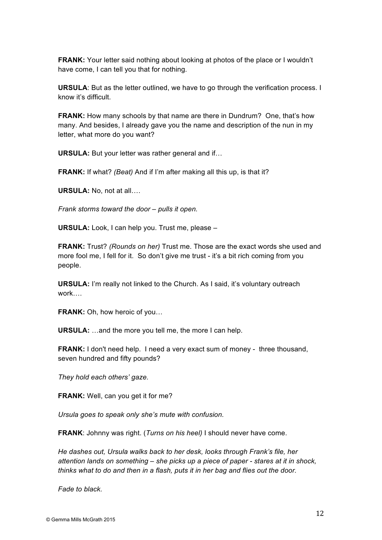**FRANK:** Your letter said nothing about looking at photos of the place or I wouldn't have come, I can tell you that for nothing.

**URSULA**: But as the letter outlined, we have to go through the verification process. I know it's difficult.

**FRANK:** How many schools by that name are there in Dundrum? One, that's how many. And besides, I already gave you the name and description of the nun in my letter, what more do you want?

**URSULA:** But your letter was rather general and if…

**FRANK:** If what? *(Beat)* And if I'm after making all this up, is that it?

**URSULA:** No, not at all….

*Frank storms toward the door – pulls it open.* 

**URSULA:** Look, I can help you. Trust me, please –

**FRANK:** Trust? *(Rounds on her)* Trust me. Those are the exact words she used and more fool me, I fell for it. So don't give me trust - it's a bit rich coming from you people.

**URSULA:** I'm really not linked to the Church. As I said, it's voluntary outreach work….

**FRANK:** Oh, how heroic of you…

**URSULA:** …and the more you tell me, the more I can help.

**FRANK:** I don't need help.I need a very exact sum of money - three thousand, seven hundred and fifty pounds?

*They hold each others' gaze.* 

**FRANK:** Well, can you get it for me?

*Ursula goes to speak only she's mute with confusion.* 

**FRANK**: Johnny was right. (*Turns on his heel)* I should never have come.

*He dashes out, Ursula walks back to her desk, looks through Frank's file, her attention lands on something – she picks up a piece of paper - stares at it in shock, thinks what to do and then in a flash, puts it in her bag and flies out the door.* 

*Fade to black.*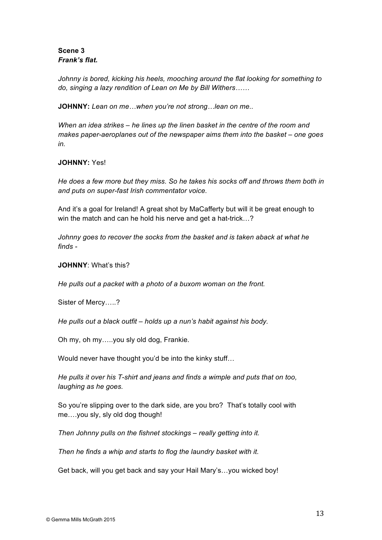# **Scene 3**  *Frank's flat.*

*Johnny is bored, kicking his heels, mooching around the flat looking for something to do, singing a lazy rendition of Lean on Me by Bill Withers……*

**JOHNNY:** *Lean on me…when you're not strong…lean on me..* 

*When an idea strikes – he lines up the linen basket in the centre of the room and makes paper-aeroplanes out of the newspaper aims them into the basket – one goes in.* 

## **JOHNNY:** Yes!

*He does a few more but they miss. So he takes his socks off and throws them both in and puts on super-fast Irish commentator voice.*

And it's a goal for Ireland! A great shot by MaCafferty but will it be great enough to win the match and can he hold his nerve and get a hat-trick…?

Johnny goes to recover the socks from the basket and is taken aback at what he *finds -*

**JOHNNY**: What's this?

*He pulls out a packet with a photo of a buxom woman on the front.* 

Sister of Mercy…..?

*He pulls out a black outfit – holds up a nun's habit against his body.*

Oh my, oh my…..you sly old dog, Frankie.

Would never have thought you'd be into the kinky stuff…

*He pulls it over his T-shirt and jeans and finds a wimple and puts that on too, laughing as he goes.* 

So you're slipping over to the dark side, are you bro? That's totally cool with me….you sly, sly old dog though!

*Then Johnny pulls on the fishnet stockings – really getting into it.* 

*Then he finds a whip and starts to flog the laundry basket with it.* 

Get back, will you get back and say your Hail Mary's…you wicked boy!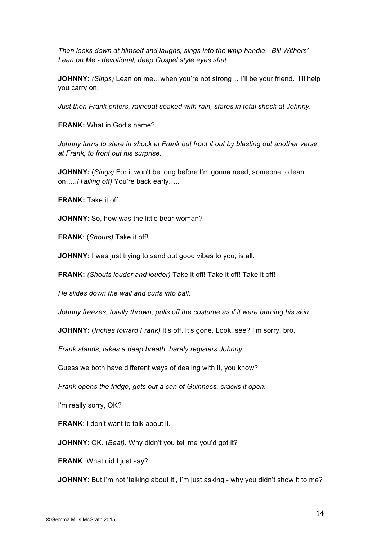*Then looks down at himself and laughs, sings into the whip handle - Bill Withers' Lean on Me - devotional, deep Gospel style eyes shut.* 

**JOHNNY:** *(Sings)* Lean on me...when you're not strong... I'll be your friend. I'll help you carry on.

*Just then Frank enters, raincoat soaked with rain, stares in total shock at Johnny.* 

**FRANK:** What in God's name?

*Johnny turns to stare in shock at Frank but front it out by blasting out another verse at Frank, to front out his surprise.* 

**JOHNNY:** (*Sings)* For it won't be long before I'm gonna need, someone to lean on…..*(Tailing off)* You're back early…..

**FRANK:** Take it off.

**JOHNNY:** So, how was the little bear-woman?

**FRANK**: (*Shouts)* Take it off!

**JOHNNY:** I was just trying to send out good vibes to you, is all.

**FRANK:** *(Shouts louder and louder)* Take it off! Take it off! Take it off!

*He slides down the wall and curls into ball.* 

*Johnny freezes, totally thrown, pulls off the costume as if it were burning his skin.* 

**JOHNNY:** (*Inches toward Frank)* It's off. It's gone. Look, see? I'm sorry, bro.

*Frank stands, takes a deep breath, barely registers Johnny*

Guess we both have different ways of dealing with it, you know?

*Frank opens the fridge, gets out a can of Guinness, cracks it open.* 

I'm really sorry, OK?

**FRANK**: I don't want to talk about it.

**JOHNNY**: OK. (*Beat).* Why didn't you tell me you'd got it?

**FRANK**: What did I just say?

**JOHNNY**: But I'm not 'talking about it', I'm just asking - why you didn't show it to me?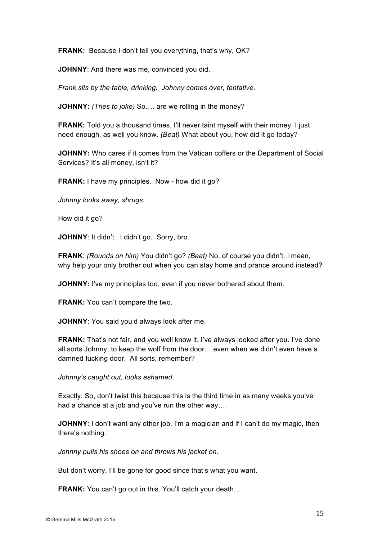**FRANK:** Because I don't tell you everything, that's why, OK?

J**OHNNY**: And there was me, convinced you did.

*Frank sits by the table, drinking. Johnny comes over, tentative.* 

**JOHNNY:** *(Tries to joke)* So.... are we rolling in the money?

**FRANK:** Told you a thousand times, I'll never taint myself with their money. I just need enough, as well you know**.** *(Beat)* What about you, how did it go today?

**JOHNNY:** Who cares if it comes from the Vatican coffers or the Department of Social Services? It's all money, isn't it?

**FRANK:** I have my principles. Now - how did it go?

*Johnny looks away, shrugs.*

How did it go?

**JOHNNY:** It didn't. I didn't go. Sorry, bro.

**FRANK**: *(Rounds on him)* You didn't go? *(Beat)* No, of course you didn't. I mean, why help your only brother out when you can stay home and prance around instead?

**JOHNNY:** I've my principles too, even if you never bothered about them.

**FRANK:** You can't compare the two.

**JOHNNY**: You said you'd always look after me.

**FRANK:** That's not fair, and you well know it. I've always looked after you. I've done all sorts Johnny, to keep the wolf from the door….even when we didn't even have a damned fucking door. All sorts, remember?

*Johnny's caught out, looks ashamed.* 

Exactly. So, don't twist this because this is the third time in as many weeks you've had a chance at a job and you've run the other way….

**JOHNNY**: I don't want any other job. I'm a magician and if I can't do my magic, then there's nothing.

*Johnny pulls his shoes on and throws his jacket on.* 

But don't worry, I'll be gone for good since that's what you want.

**FRANK:** You can't go out in this. You'll catch your death....